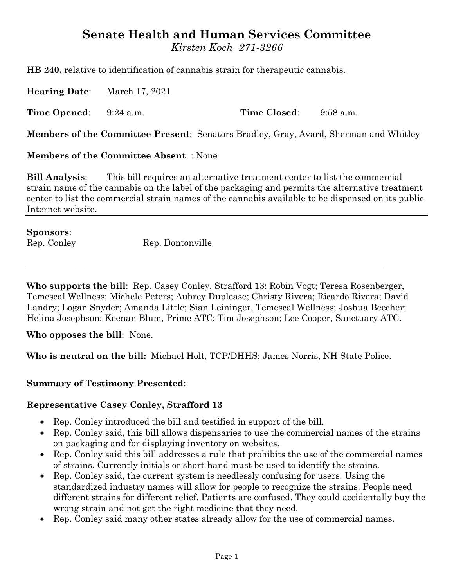# **Senate Health and Human Services Committee**

*Kirsten Koch 271-3266*

**HB 240,** relative to identification of cannabis strain for therapeutic cannabis.

**Hearing Date**: March 17, 2021

**Time Opened**: 9:24 a.m. **Time Closed**: 9:58 a.m.

**Members of the Committee Present**: Senators Bradley, Gray, Avard, Sherman and Whitley

**Members of the Committee Absent** : None

**Bill Analysis**: This bill requires an alternative treatment center to list the commercial strain name of the cannabis on the label of the packaging and permits the alternative treatment center to list the commercial strain names of the cannabis available to be dispensed on its public Internet website.

**Sponsors**: Rep. Conley Rep. Dontonville

**Who supports the bill**: Rep. Casey Conley, Strafford 13; Robin Vogt; Teresa Rosenberger, Temescal Wellness; Michele Peters; Aubrey Duplease; Christy Rivera; Ricardo Rivera; David Landry; Logan Snyder; Amanda Little; Sian Leininger, Temescal Wellness; Joshua Beecher; Helina Josephson; Keenan Blum, Prime ATC; Tim Josephson; Lee Cooper, Sanctuary ATC.

 $\_$  , and the set of the set of the set of the set of the set of the set of the set of the set of the set of the set of the set of the set of the set of the set of the set of the set of the set of the set of the set of th

**Who opposes the bill**: None.

**Who is neutral on the bill:** Michael Holt, TCP/DHHS; James Norris, NH State Police.

#### **Summary of Testimony Presented**:

#### **Representative Casey Conley, Strafford 13**

- Rep. Conley introduced the bill and testified in support of the bill.
- Rep. Conley said, this bill allows dispensaries to use the commercial names of the strains on packaging and for displaying inventory on websites.
- Rep. Conley said this bill addresses a rule that prohibits the use of the commercial names of strains. Currently initials or short-hand must be used to identify the strains.
- Rep. Conley said, the current system is needlessly confusing for users. Using the standardized industry names will allow for people to recognize the strains. People need different strains for different relief. Patients are confused. They could accidentally buy the wrong strain and not get the right medicine that they need.
- Rep. Conley said many other states already allow for the use of commercial names.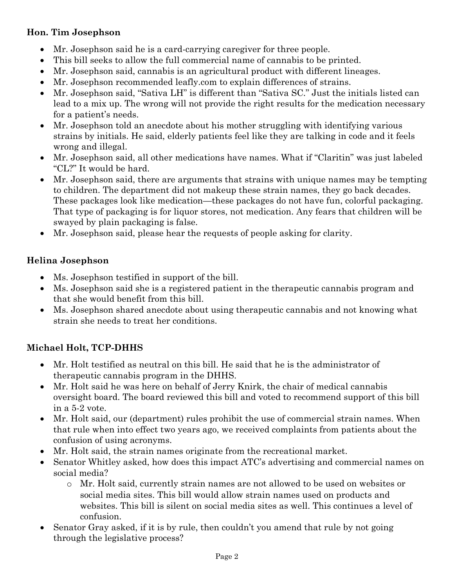## **Hon. Tim Josephson**

- Mr. Josephson said he is a card-carrying caregiver for three people.
- This bill seeks to allow the full commercial name of cannabis to be printed.
- Mr. Josephson said, cannabis is an agricultural product with different lineages.
- Mr. Josephson recommended leafly.com to explain differences of strains.
- Mr. Josephson said, "Sativa LH" is different than "Sativa SC." Just the initials listed can lead to a mix up. The wrong will not provide the right results for the medication necessary for a patient's needs.
- Mr. Josephson told an anecdote about his mother struggling with identifying various strains by initials. He said, elderly patients feel like they are talking in code and it feels wrong and illegal.
- Mr. Josephson said, all other medications have names. What if "Claritin" was just labeled "CL?" It would be hard.
- Mr. Josephson said, there are arguments that strains with unique names may be tempting to children. The department did not makeup these strain names, they go back decades. These packages look like medication—these packages do not have fun, colorful packaging. That type of packaging is for liquor stores, not medication. Any fears that children will be swayed by plain packaging is false.
- Mr. Josephson said, please hear the requests of people asking for clarity.

## **Helina Josephson**

- Ms. Josephson testified in support of the bill.
- Ms. Josephson said she is a registered patient in the therapeutic cannabis program and that she would benefit from this bill.
- Ms. Josephson shared anecdote about using therapeutic cannabis and not knowing what strain she needs to treat her conditions.

# **Michael Holt, TCP-DHHS**

- Mr. Holt testified as neutral on this bill. He said that he is the administrator of therapeutic cannabis program in the DHHS.
- Mr. Holt said he was here on behalf of Jerry Knirk, the chair of medical cannabis oversight board. The board reviewed this bill and voted to recommend support of this bill in a 5-2 vote.
- Mr. Holt said, our (department) rules prohibit the use of commercial strain names. When that rule when into effect two years ago, we received complaints from patients about the confusion of using acronyms.
- Mr. Holt said, the strain names originate from the recreational market.
- Senator Whitley asked, how does this impact ATC's advertising and commercial names on social media?
	- o Mr. Holt said, currently strain names are not allowed to be used on websites or social media sites. This bill would allow strain names used on products and websites. This bill is silent on social media sites as well. This continues a level of confusion.
- Senator Gray asked, if it is by rule, then couldn't you amend that rule by not going through the legislative process?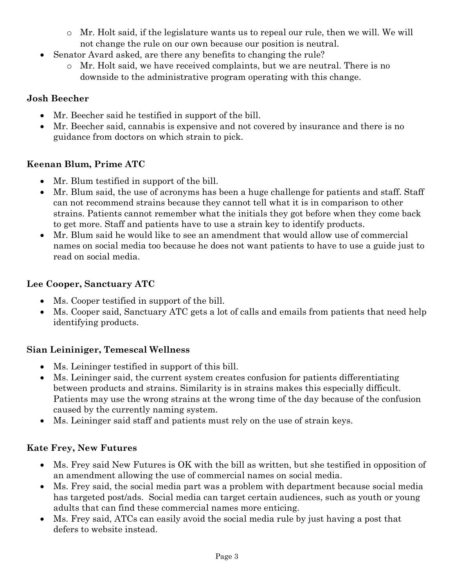- o Mr. Holt said, if the legislature wants us to repeal our rule, then we will. We will not change the rule on our own because our position is neutral.
- Senator Avard asked, are there any benefits to changing the rule?
	- o Mr. Holt said, we have received complaints, but we are neutral. There is no downside to the administrative program operating with this change.

## **Josh Beecher**

- Mr. Beecher said he testified in support of the bill.
- Mr. Beecher said, cannabis is expensive and not covered by insurance and there is no guidance from doctors on which strain to pick.

# **Keenan Blum, Prime ATC**

- Mr. Blum testified in support of the bill.
- Mr. Blum said, the use of acronyms has been a huge challenge for patients and staff. Staff can not recommend strains because they cannot tell what it is in comparison to other strains. Patients cannot remember what the initials they got before when they come back to get more. Staff and patients have to use a strain key to identify products.
- Mr. Blum said he would like to see an amendment that would allow use of commercial names on social media too because he does not want patients to have to use a guide just to read on social media.

## **Lee Cooper, Sanctuary ATC**

- Ms. Cooper testified in support of the bill.
- Ms. Cooper said, Sanctuary ATC gets a lot of calls and emails from patients that need help identifying products.

# **Sian Leininiger, Temescal Wellness**

- Ms. Leininger testified in support of this bill.
- Ms. Leininger said, the current system creates confusion for patients differentiating between products and strains. Similarity is in strains makes this especially difficult. Patients may use the wrong strains at the wrong time of the day because of the confusion caused by the currently naming system.
- Ms. Leininger said staff and patients must rely on the use of strain keys.

# **Kate Frey, New Futures**

- Ms. Frey said New Futures is OK with the bill as written, but she testified in opposition of an amendment allowing the use of commercial names on social media.
- Ms. Frey said, the social media part was a problem with department because social media has targeted post/ads. Social media can target certain audiences, such as youth or young adults that can find these commercial names more enticing.
- Ms. Frey said, ATCs can easily avoid the social media rule by just having a post that defers to website instead.